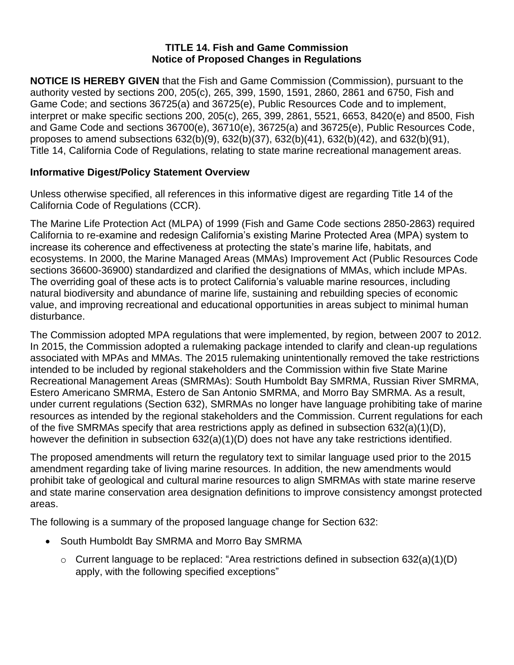## **TITLE 14. Fish and Game Commission Notice of Proposed Changes in Regulations**

**NOTICE IS HEREBY GIVEN** that the Fish and Game Commission (Commission), pursuant to the authority vested by sections 200, 205(c), 265, 399, 1590, 1591, 2860, 2861 and 6750, Fish and Game Code; and sections 36725(a) and 36725(e), Public Resources Code and to implement, interpret or make specific sections 200, 205(c), 265, 399, 2861, 5521, 6653, 8420(e) and 8500, Fish and Game Code and sections 36700(e), 36710(e), 36725(a) and 36725(e), Public Resources Code, proposes to amend subsections 632(b)(9), 632(b)(37), 632(b)(41), 632(b)(42), and 632(b)(91), Title 14, California Code of Regulations, relating to state marine recreational management areas.

# **Informative Digest/Policy Statement Overview**

Unless otherwise specified, all references in this informative digest are regarding Title 14 of the California Code of Regulations (CCR).

The Marine Life Protection Act (MLPA) of 1999 (Fish and Game Code sections 2850-2863) required California to re-examine and redesign California's existing Marine Protected Area (MPA) system to increase its coherence and effectiveness at protecting the state's marine life, habitats, and ecosystems. In 2000, the Marine Managed Areas (MMAs) Improvement Act (Public Resources Code sections 36600-36900) standardized and clarified the designations of MMAs, which include MPAs. The overriding goal of these acts is to protect California's valuable marine resources, including natural biodiversity and abundance of marine life, sustaining and rebuilding species of economic value, and improving recreational and educational opportunities in areas subject to minimal human disturbance.

The Commission adopted MPA regulations that were implemented, by region, between 2007 to 2012. In 2015, the Commission adopted a rulemaking package intended to clarify and clean-up regulations associated with MPAs and MMAs. The 2015 rulemaking unintentionally removed the take restrictions intended to be included by regional stakeholders and the Commission within five State Marine Recreational Management Areas (SMRMAs): South Humboldt Bay SMRMA, Russian River SMRMA, Estero Americano SMRMA, Estero de San Antonio SMRMA, and Morro Bay SMRMA. As a result, under current regulations (Section 632), SMRMAs no longer have language prohibiting take of marine resources as intended by the regional stakeholders and the Commission. Current regulations for each of the five SMRMAs specify that area restrictions apply as defined in subsection 632(a)(1)(D), however the definition in subsection 632(a)(1)(D) does not have any take restrictions identified.

The proposed amendments will return the regulatory text to similar language used prior to the 2015 amendment regarding take of living marine resources. In addition, the new amendments would prohibit take of geological and cultural marine resources to align SMRMAs with state marine reserve and state marine conservation area designation definitions to improve consistency amongst protected areas.

The following is a summary of the proposed language change for Section 632:

- South Humboldt Bay SMRMA and Morro Bay SMRMA
	- $\circ$  Current language to be replaced: "Area restrictions defined in subsection 632(a)(1)(D) apply, with the following specified exceptions"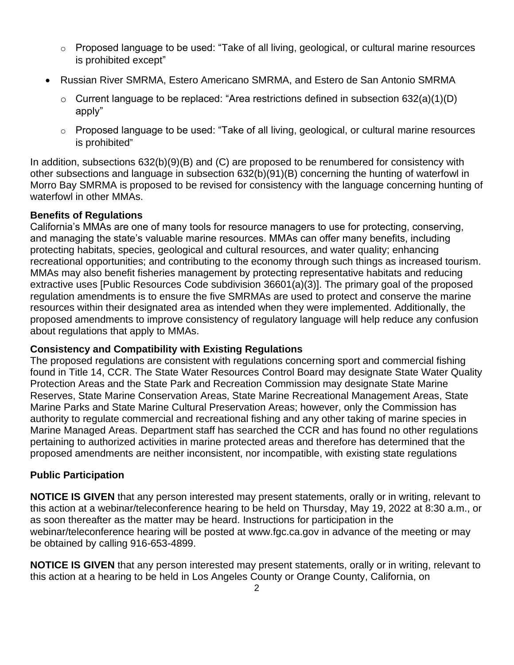- o Proposed language to be used: "Take of all living, geological, or cultural marine resources is prohibited except"
- Russian River SMRMA, Estero Americano SMRMA, and Estero de San Antonio SMRMA
	- $\circ$  Current language to be replaced: "Area restrictions defined in subsection 632(a)(1)(D) apply"
	- o Proposed language to be used: "Take of all living, geological, or cultural marine resources is prohibited"

In addition, subsections 632(b)(9)(B) and (C) are proposed to be renumbered for consistency with other subsections and language in subsection 632(b)(91)(B) concerning the hunting of waterfowl in Morro Bay SMRMA is proposed to be revised for consistency with the language concerning hunting of waterfowl in other MMAs.

## **Benefits of Regulations**

California's MMAs are one of many tools for resource managers to use for protecting, conserving, and managing the state's valuable marine resources. MMAs can offer many benefits, including protecting habitats, species, geological and cultural resources, and water quality; enhancing recreational opportunities; and contributing to the economy through such things as increased tourism. MMAs may also benefit fisheries management by protecting representative habitats and reducing extractive uses [Public Resources Code subdivision 36601(a)(3)]. The primary goal of the proposed regulation amendments is to ensure the five SMRMAs are used to protect and conserve the marine resources within their designated area as intended when they were implemented. Additionally, the proposed amendments to improve consistency of regulatory language will help reduce any confusion about regulations that apply to MMAs.

## **Consistency and Compatibility with Existing Regulations**

The proposed regulations are consistent with regulations concerning sport and commercial fishing found in Title 14, CCR. The State Water Resources Control Board may designate State Water Quality Protection Areas and the State Park and Recreation Commission may designate State Marine Reserves, State Marine Conservation Areas, State Marine Recreational Management Areas, State Marine Parks and State Marine Cultural Preservation Areas; however, only the Commission has authority to regulate commercial and recreational fishing and any other taking of marine species in Marine Managed Areas. Department staff has searched the CCR and has found no other regulations pertaining to authorized activities in marine protected areas and therefore has determined that the proposed amendments are neither inconsistent, nor incompatible, with existing state regulations

# **Public Participation**

**NOTICE IS GIVEN** that any person interested may present statements, orally or in writing, relevant to this action at a webinar/teleconference hearing to be held on Thursday, May 19, 2022 at 8:30 a.m., or as soon thereafter as the matter may be heard. Instructions for participation in the webinar/teleconference hearing will be posted at www.fgc.ca.gov in advance of the meeting or may be obtained by calling 916-653-4899.

**NOTICE IS GIVEN** that any person interested may present statements, orally or in writing, relevant to this action at a hearing to be held in Los Angeles County or Orange County, California, on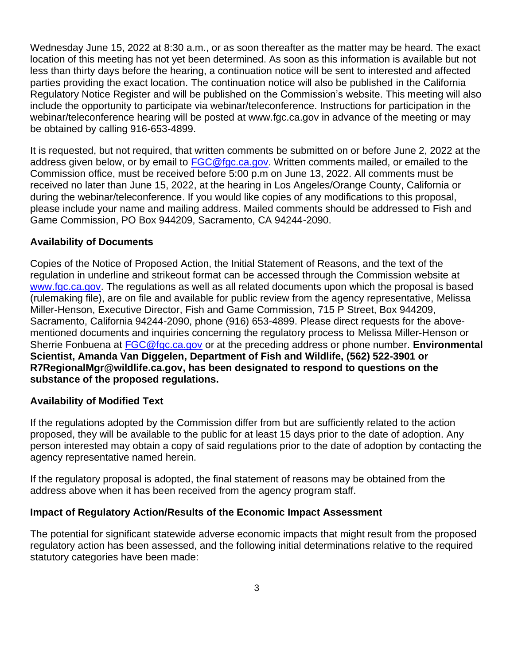Wednesday June 15, 2022 at 8:30 a.m., or as soon thereafter as the matter may be heard. The exact location of this meeting has not yet been determined. As soon as this information is available but not less than thirty days before the hearing, a continuation notice will be sent to interested and affected parties providing the exact location. The continuation notice will also be published in the California Regulatory Notice Register and will be published on the Commission's website. This meeting will also include the opportunity to participate via webinar/teleconference. Instructions for participation in the webinar/teleconference hearing will be posted at www.fgc.ca.gov in advance of the meeting or may be obtained by calling 916-653-4899.

It is requested, but not required, that written comments be submitted on or before June 2, 2022 at the address given below, or by email to [FGC@fgc.ca.gov.](mailto:FGC@dfg.ca.gov) Written comments mailed, or emailed to the Commission office, must be received before 5:00 p.m on June 13, 2022. All comments must be received no later than June 15, 2022, at the hearing in Los Angeles/Orange County, California or during the webinar/teleconference. If you would like copies of any modifications to this proposal, please include your name and mailing address. Mailed comments should be addressed to Fish and Game Commission, PO Box 944209, Sacramento, CA 94244-2090.

### **Availability of Documents**

Copies of the Notice of Proposed Action, the Initial Statement of Reasons, and the text of the regulation in underline and strikeout format can be accessed through the Commission website at [www.fgc.ca.gov.](http://www.fgc.ca.gov/) The regulations as well as all related documents upon which the proposal is based (rulemaking file), are on file and available for public review from the agency representative, Melissa Miller-Henson, Executive Director, Fish and Game Commission, 715 P Street, Box 944209, Sacramento, California 94244-2090, phone (916) 653-4899. Please direct requests for the abovementioned documents and inquiries concerning the regulatory process to Melissa Miller-Henson or Sherrie Fonbuena at [FGC@fgc.ca.gov](mailto:FGC@fgc.ca.gov) or at the preceding address or phone number. **Environmental Scientist, Amanda Van Diggelen, Department of Fish and Wildlife, (562) 522-3901 or R7RegionalMgr@wildlife.ca.gov, has been designated to respond to questions on the substance of the proposed regulations.**

#### **Availability of Modified Text**

If the regulations adopted by the Commission differ from but are sufficiently related to the action proposed, they will be available to the public for at least 15 days prior to the date of adoption. Any person interested may obtain a copy of said regulations prior to the date of adoption by contacting the agency representative named herein.

If the regulatory proposal is adopted, the final statement of reasons may be obtained from the address above when it has been received from the agency program staff.

#### **Impact of Regulatory Action/Results of the Economic Impact Assessment**

The potential for significant statewide adverse economic impacts that might result from the proposed regulatory action has been assessed, and the following initial determinations relative to the required statutory categories have been made: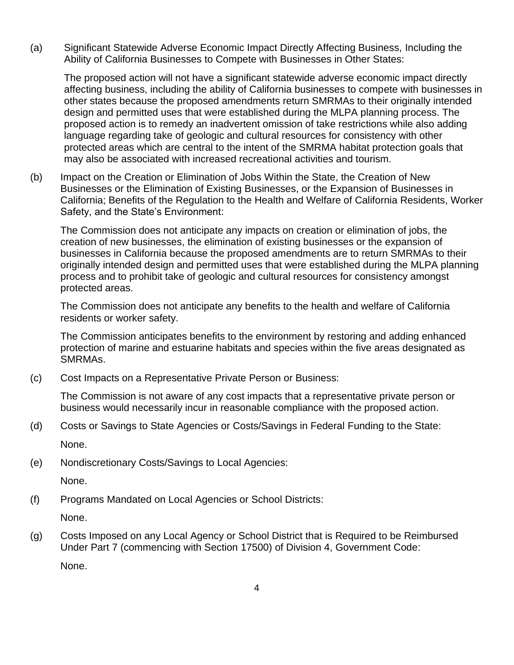(a) Significant Statewide Adverse Economic Impact Directly Affecting Business, Including the Ability of California Businesses to Compete with Businesses in Other States:

The proposed action will not have a significant statewide adverse economic impact directly affecting business, including the ability of California businesses to compete with businesses in other states because the proposed amendments return SMRMAs to their originally intended design and permitted uses that were established during the MLPA planning process. The proposed action is to remedy an inadvertent omission of take restrictions while also adding language regarding take of geologic and cultural resources for consistency with other protected areas which are central to the intent of the SMRMA habitat protection goals that may also be associated with increased recreational activities and tourism.

(b) Impact on the Creation or Elimination of Jobs Within the State, the Creation of New Businesses or the Elimination of Existing Businesses, or the Expansion of Businesses in California; Benefits of the Regulation to the Health and Welfare of California Residents, Worker Safety, and the State's Environment:

The Commission does not anticipate any impacts on creation or elimination of jobs, the creation of new businesses, the elimination of existing businesses or the expansion of businesses in California because the proposed amendments are to return SMRMAs to their originally intended design and permitted uses that were established during the MLPA planning process and to prohibit take of geologic and cultural resources for consistency amongst protected areas.

The Commission does not anticipate any benefits to the health and welfare of California residents or worker safety.

The Commission anticipates benefits to the environment by restoring and adding enhanced protection of marine and estuarine habitats and species within the five areas designated as SMRMAs.

(c) Cost Impacts on a Representative Private Person or Business:

The Commission is not aware of any cost impacts that a representative private person or business would necessarily incur in reasonable compliance with the proposed action.

- (d) Costs or Savings to State Agencies or Costs/Savings in Federal Funding to the State: None.
- (e) Nondiscretionary Costs/Savings to Local Agencies:

None.

(f) Programs Mandated on Local Agencies or School Districts:

None.

(g) Costs Imposed on any Local Agency or School District that is Required to be Reimbursed Under Part 7 (commencing with Section 17500) of Division 4, Government Code:

None.